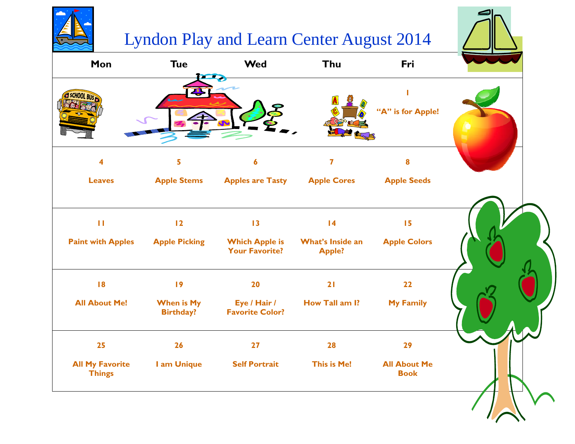## Lyndon Play and Learn Center August 2014

| Mon                                      | <b>Tue</b><br>$\overline{\phantom{a}}$  | <b>Wed</b>                                           | Thu                                                  | Fri                                |  |
|------------------------------------------|-----------------------------------------|------------------------------------------------------|------------------------------------------------------|------------------------------------|--|
| SCHOOL BLIG                              |                                         |                                                      |                                                      | Т<br>"A" is for Apple!             |  |
| $\overline{\mathbf{4}}$                  | 5                                       | 6                                                    | $\overline{\mathbf{7}}$                              | 8                                  |  |
| <b>Leaves</b>                            | <b>Apple Stems</b>                      | <b>Apples are Tasty</b>                              | <b>Apple Cores</b>                                   | <b>Apple Seeds</b>                 |  |
| $\mathbf{H}$<br><b>Paint with Apples</b> | $\overline{12}$<br><b>Apple Picking</b> | 13<br><b>Which Apple is</b><br><b>Your Favorite?</b> | $\overline{14}$<br>What's Inside an<br><b>Apple?</b> | 15<br><b>Apple Colors</b>          |  |
| 8                                        | 19                                      | 20                                                   | 21                                                   | 22                                 |  |
| <b>All About Me!</b>                     | <b>When is My</b><br><b>Birthday?</b>   | Eye / Hair /<br><b>Favorite Color?</b>               | How Tall am I?                                       | <b>My Family</b>                   |  |
| 25                                       | 26                                      | 27                                                   | 28                                                   | 29                                 |  |
| <b>All My Favorite</b><br><b>Things</b>  | I am Unique                             | <b>Self Portrait</b>                                 | This is Me!                                          | <b>All About Me</b><br><b>Book</b> |  |